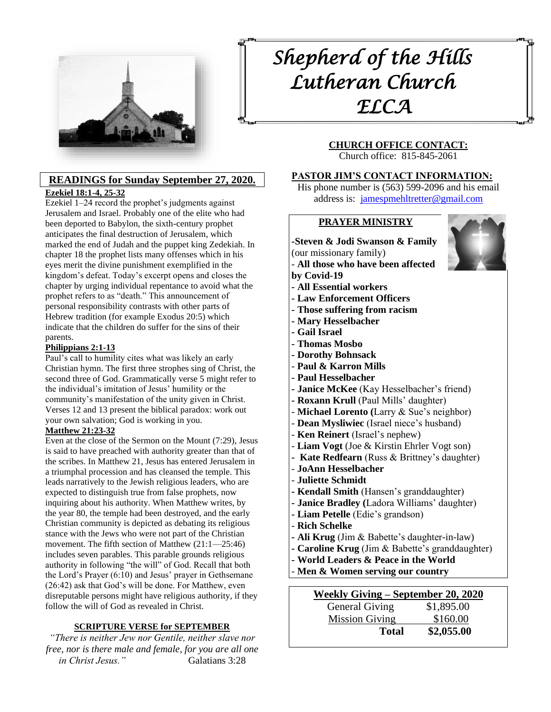

## **READINGS for Sunday September 27, 2020. [Ezekiel 18:1-4, 25-32](https://members.sundaysandseasons.com/Home/TextsAndResources/2020-9-27/2125)**

Ezekiel 1–24 record the prophet's judgments against Jerusalem and Israel. Probably one of the elite who had been deported to Babylon, the sixth-century prophet anticipates the final destruction of Jerusalem, which marked the end of Judah and the puppet king Zedekiah. In chapter 18 the prophet lists many offenses which in his eyes merit the divine punishment exemplified in the kingdom's defeat. Today's excerpt opens and closes the chapter by urging individual repentance to avoid what the prophet refers to as "death." This announcement of personal responsibility contrasts with other parts of Hebrew tradition (for example Exodus 20:5) which indicate that the children do suffer for the sins of their parents.

#### **[Philippians 2:1-13](https://members.sundaysandseasons.com/Home/TextsAndResources/2020-9-27/2125)**

Paul's call to humility cites what was likely an early Christian hymn. The first three strophes sing of Christ, the second three of God. Grammatically verse 5 might refer to the individual's imitation of Jesus' humility or the community's manifestation of the unity given in Christ. Verses 12 and 13 present the biblical paradox: work out your own salvation; God is working in you.

#### **[Matthew 21:23-32](https://members.sundaysandseasons.com/Home/TextsAndResources/2020-9-27/2125)**

Even at the close of the Sermon on the Mount (7:29), Jesus is said to have preached with authority greater than that of the scribes. In Matthew 21, Jesus has entered Jerusalem in a triumphal procession and has cleansed the temple. This leads narratively to the Jewish religious leaders, who are expected to distinguish true from false prophets, now inquiring about his authority. When Matthew writes, by the year 80, the temple had been destroyed, and the early Christian community is depicted as debating its religious stance with the Jews who were not part of the Christian movement. The fifth section of Matthew (21:1—25:46) includes seven parables. This parable grounds religious authority in following "the will" of God. Recall that both the Lord's Prayer (6:10) and Jesus' prayer in Gethsemane (26:42) ask that God's will be done. For Matthew, even disreputable persons might have religious authority, if they follow the will of God as revealed in Christ.

#### **SCRIPTURE VERSE for SEPTEMBER**

*"There is neither Jew nor Gentile, neither slave nor free, nor is there male and female, for you are all one in Christ Jesus."* Galatians 3:28

# *Shepherd of the Hills Lutheran Church ELCA*

# **CHURCH OFFICE CONTACT:**

Church office: 815-845-2061

#### **PASTOR JIM'S CONTACT INFORMATION:**

His phone number is (563) 599-2096 and his email address is: [jamespmehltretter@gmail.com](mailto:jamespmehltretter@gmail.com)

#### **PRAYER MINISTRY**

# **-Steven & Jodi Swanson & Family**

(our missionary family)

- **All those who have been affected by Covid-19**
- **- All Essential workers**
- **- Law Enforcement Officers**
- **- Those suffering from racism**
- **- Mary Hesselbacher**
- **- Gail Israel**
- **- Thomas Mosbo**
- **- Dorothy Bohnsack**
- **Paul & Karron Mills**
- **- Paul Hesselbacher**
- **- Janice McKee** (Kay Hesselbacher's friend)
- **- Roxann Krull** (Paul Mills' daughter)
- **Michael Lorento (**Larry & Sue's neighbor)
- **Dean Mysliwiec** (Israel niece's husband)
- **Ken Reinert** (Israel's nephew)
- **Liam Vogt** (Joe & Kirstin Ehrler Vogt son)
- **Kate Redfearn** (Russ & Brittney's daughter)
- **JoAnn Hesselbacher**
- **Juliette Schmidt**
- **- Kendall Smith** (Hansen's granddaughter)
- **- Janice Bradley (**Ladora Williams' daughter)
- **- Liam Petelle** (Edie's grandson)
- **Rich Schelke**
- **- Ali Krug** (Jim & Babette's daughter-in-law)
- **- Caroline Krug** (Jim & Babette's granddaughter)
- **- World Leaders & Peace in the World**
- **Men & Women serving our country**

| Weekly Giving – September 20, 2020 |            |  |  |  |  |
|------------------------------------|------------|--|--|--|--|
| <b>General Giving</b>              | \$1,895.00 |  |  |  |  |
| <b>Mission Giving</b>              | \$160.00   |  |  |  |  |
| Total                              | \$2,055.00 |  |  |  |  |

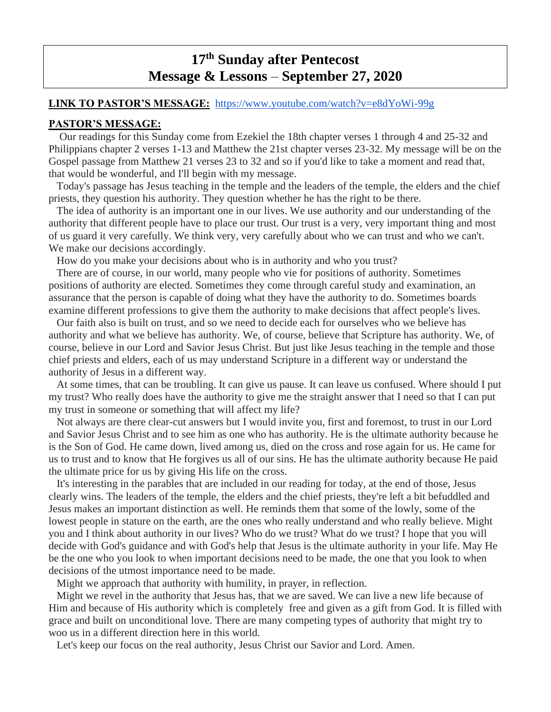# **17 th Sunday after Pentecost Message & Lessons** – **September 27, 2020**

## **LINK TO PASTOR'S MESSAGE:** <https://www.youtube.com/watch?v=e8dYoWi-99g>

#### **PASTOR'S MESSAGE:**

 Our readings for this Sunday come from Ezekiel the 18th chapter verses 1 through 4 and 25-32 and Philippians chapter 2 verses 1-13 and Matthew the 21st chapter verses 23-32. My message will be on the Gospel passage from Matthew 21 verses 23 to 32 and so if you'd like to take a moment and read that, that would be wonderful, and I'll begin with my message.

Today's passage has Jesus teaching in the temple and the leaders of the temple, the elders and the chief priests, they question his authority. They question whether he has the right to be there.

The idea of authority is an important one in our lives. We use authority and our understanding of the authority that different people have to place our trust. Our trust is a very, very important thing and most of us guard it very carefully. We think very, very carefully about who we can trust and who we can't. We make our decisions accordingly.

How do you make your decisions about who is in authority and who you trust?

There are of course, in our world, many people who vie for positions of authority. Sometimes positions of authority are elected. Sometimes they come through careful study and examination, an assurance that the person is capable of doing what they have the authority to do. Sometimes boards examine different professions to give them the authority to make decisions that affect people's lives.

Our faith also is built on trust, and so we need to decide each for ourselves who we believe has authority and what we believe has authority. We, of course, believe that Scripture has authority. We, of course, believe in our Lord and Savior Jesus Christ. But just like Jesus teaching in the temple and those chief priests and elders, each of us may understand Scripture in a different way or understand the authority of Jesus in a different way.

At some times, that can be troubling. It can give us pause. It can leave us confused. Where should I put my trust? Who really does have the authority to give me the straight answer that I need so that I can put my trust in someone or something that will affect my life?

Not always are there clear-cut answers but I would invite you, first and foremost, to trust in our Lord and Savior Jesus Christ and to see him as one who has authority. He is the ultimate authority because he is the Son of God. He came down, lived among us, died on the cross and rose again for us. He came for us to trust and to know that He forgives us all of our sins. He has the ultimate authority because He paid the ultimate price for us by giving His life on the cross.

It's interesting in the parables that are included in our reading for today, at the end of those, Jesus clearly wins. The leaders of the temple, the elders and the chief priests, they're left a bit befuddled and Jesus makes an important distinction as well. He reminds them that some of the lowly, some of the lowest people in stature on the earth, are the ones who really understand and who really believe. Might you and I think about authority in our lives? Who do we trust? What do we trust? I hope that you will decide with God's guidance and with God's help that Jesus is the ultimate authority in your life. May He be the one who you look to when important decisions need to be made, the one that you look to when decisions of the utmost importance need to be made.

Might we approach that authority with humility, in prayer, in reflection.

Might we revel in the authority that Jesus has, that we are saved. We can live a new life because of Him and because of His authority which is completely free and given as a gift from God. It is filled with grace and built on unconditional love. There are many competing types of authority that might try to woo us in a different direction here in this world.

Let's keep our focus on the real authority, Jesus Christ our Savior and Lord. Amen.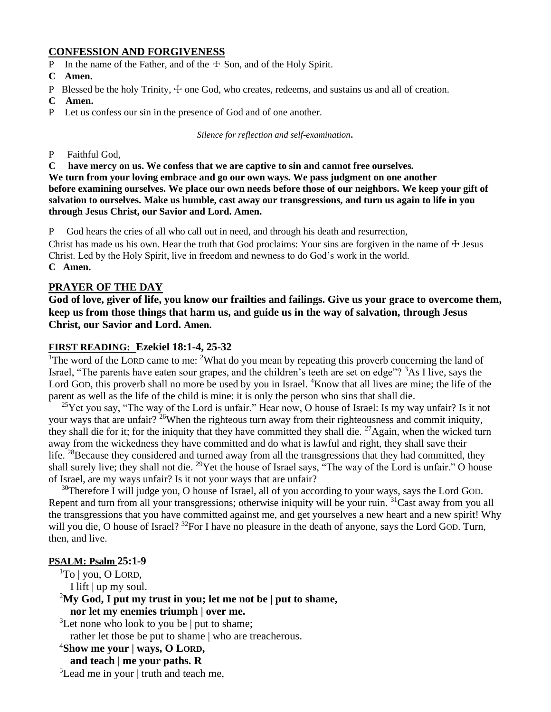# **CONFESSION AND FORGIVENESS**

- P In the name of the Father, and of the  $\pm$  Son, and of the Holy Spirit.
- **C Amen.**
- P Blessed be the holy Trinity,  $\pm$  one God, who creates, redeems, and sustains us and all of creation.
- **C Amen.**
- P Let us confess our sin in the presence of God and of one another.

*Silence for reflection and self-examination.*

P Faithful God,

**C have mercy on us. We confess that we are captive to sin and cannot free ourselves.**

**We turn from your loving embrace and go our own ways. We pass judgment on one another before examining ourselves. We place our own needs before those of our neighbors. We keep your gift of salvation to ourselves. Make us humble, cast away our transgressions, and turn us again to life in you through Jesus Christ, our Savior and Lord. Amen.**

P God hears the cries of all who call out in need, and through his death and resurrection,

Christ has made us his own. Hear the truth that God proclaims: Your sins are forgiven in the name of  $\pm$  Jesus Christ. Led by the Holy Spirit, live in freedom and newness to do God's work in the world. **C Amen.**

### **PRAYER OF THE DAY**

**God of love, giver of life, you know our frailties and failings. Give us your grace to overcome them, keep us from those things that harm us, and guide us in the way of salvation, through Jesus Christ, our Savior and Lord. Amen.**

### **FIRST READING: Ezekiel 18:1-4, 25-32**

<sup>1</sup>The word of the LORD came to me: <sup>2</sup>What do you mean by repeating this proverb concerning the land of Israel, "The parents have eaten sour grapes, and the children's teeth are set on edge"?  ${}^{3}$ As I live, says the Lord GOD, this proverb shall no more be used by you in Israel. <sup>4</sup>Know that all lives are mine; the life of the parent as well as the life of the child is mine: it is only the person who sins that shall die.

<sup>25</sup>Yet you say, "The way of the Lord is unfair." Hear now, O house of Israel: Is my way unfair? Is it not your ways that are unfair? <sup>26</sup>When the righteous turn away from their righteousness and commit iniquity, they shall die for it; for the iniquity that they have committed they shall die.  $^{27}$ Again, when the wicked turn away from the wickedness they have committed and do what is lawful and right, they shall save their life. <sup>28</sup>Because they considered and turned away from all the transgressions that they had committed, they shall surely live; they shall not die. <sup>29</sup>Yet the house of Israel says, "The way of the Lord is unfair." O house of Israel, are my ways unfair? Is it not your ways that are unfair?

<sup>30</sup>Therefore I will judge you, O house of Israel, all of you according to your ways, says the Lord GOD. Repent and turn from all your transgressions; otherwise iniquity will be your ruin. <sup>31</sup>Cast away from you all the transgressions that you have committed against me, and get yourselves a new heart and a new spirit! Why will you die, O house of Israel? <sup>32</sup>For I have no pleasure in the death of anyone, says the Lord GOD. Turn, then, and live.

#### **PSALM: Psalm 25:1-9**

 ${}^{1}$ To | you, O LORD,

I lift | up my soul.

<sup>2</sup>**My God, I put my trust in you; let me not be | put to shame, nor let my enemies triumph | over me.**

<sup>3</sup>Let none who look to you be  $\vert$  put to shame;

rather let those be put to shame | who are treacherous.

- <sup>4</sup>**Show me your | ways, O LORD,**
	- **and teach | me your paths. R**

 ${}^{5}$ Lead me in your | truth and teach me,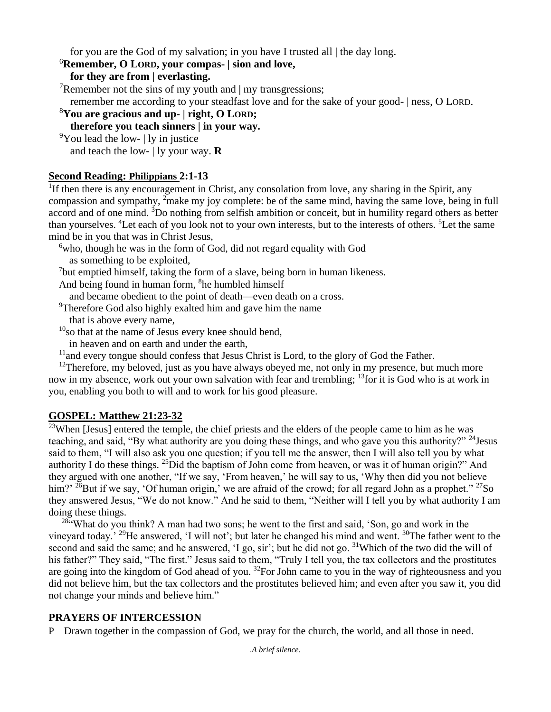for you are the God of my salvation; in you have I trusted all | the day long.

# <sup>6</sup>**Remember, O LORD, your compas- | sion and love,**

**for they are from | everlasting.**

<sup>7</sup>Remember not the sins of my youth and  $\vert$  my transgressions;

remember me according to your steadfast love and for the sake of your good- | ness, O LORD.

<sup>8</sup>**You are gracious and up- | right, O LORD;**

# **therefore you teach sinners | in your way.**

 $\rm{^9}$ You lead the low- | ly in justice

and teach the low- | ly your way. **R**

# **Second Reading: Philippians 2:1-13**

<sup>1</sup>If then there is any encouragement in Christ, any consolation from love, any sharing in the Spirit, any compassion and sympathy, <sup>2</sup>make my joy complete: be of the same mind, having the same love, being in full accord and of one mind. <sup>3</sup>Do nothing from selfish ambition or conceit, but in humility regard others as better than yourselves. <sup>4</sup>Let each of you look not to your own interests, but to the interests of others. <sup>5</sup>Let the same mind be in you that was in Christ Jesus,

 $6$ who, though he was in the form of God, did not regard equality with God as something to be exploited,

<sup>7</sup>but emptied himself, taking the form of a slave, being born in human likeness.

And being found in human form, <sup>8</sup>he humbled himself

and became obedient to the point of death—even death on a cross.

<sup>9</sup>Therefore God also highly exalted him and gave him the name that is above every name,

 $10<sub>so</sub>$  that at the name of Jesus every knee should bend,

in heaven and on earth and under the earth,

 $<sup>11</sup>$  and every tongue should confess that Jesus Christ is Lord, to the glory of God the Father.</sup>

 $12$ Therefore, my beloved, just as you have always obeyed me, not only in my presence, but much more now in my absence, work out your own salvation with fear and trembling; <sup>13</sup> for it is God who is at work in you, enabling you both to will and to work for his good pleasure.

# **GOSPEL: Matthew 21:23-32**

<sup>23</sup>When [Jesus] entered the temple, the chief priests and the elders of the people came to him as he was teaching, and said, "By what authority are you doing these things, and who gave you this authority?" <sup>24</sup> Jesus said to them, "I will also ask you one question; if you tell me the answer, then I will also tell you by what authority I do these things. <sup>25</sup>Did the baptism of John come from heaven, or was it of human origin?" And they argued with one another, "If we say, 'From heaven,' he will say to us, 'Why then did you not believe him?' <sup>26</sup>But if we say, 'Of human origin,' we are afraid of the crowd; for all regard John as a prophet." <sup>27</sup>So they answered Jesus, "We do not know." And he said to them, "Neither will I tell you by what authority I am doing these things.

 $284$  What do you think? A man had two sons; he went to the first and said, 'Son, go and work in the vineyard today.' <sup>29</sup>He answered, 'I will not'; but later he changed his mind and went. <sup>30</sup>The father went to the second and said the same; and he answered, 'I go, sir'; but he did not go. <sup>31</sup>Which of the two did the will of his father?" They said, "The first." Jesus said to them, "Truly I tell you, the tax collectors and the prostitutes are going into the kingdom of God ahead of you.  $32$ For John came to you in the way of righteousness and you did not believe him, but the tax collectors and the prostitutes believed him; and even after you saw it, you did not change your minds and believe him."

# **PRAYERS OF INTERCESSION**

P Drawn together in the compassion of God, we pray for the church, the world, and all those in need.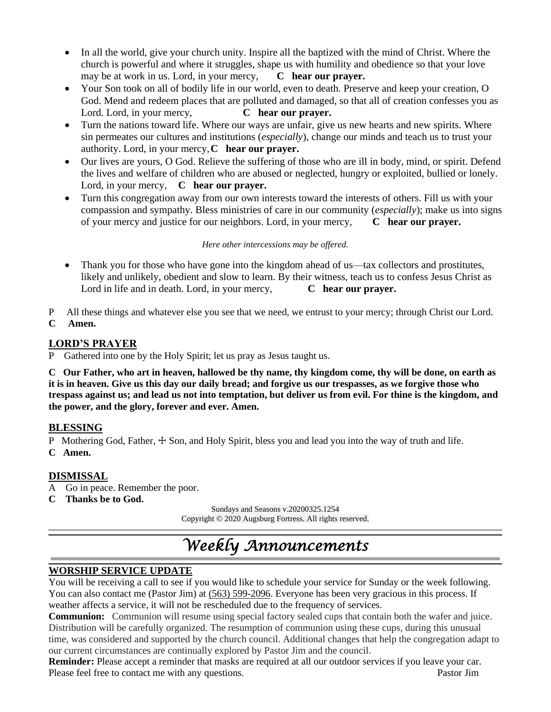- In all the world, give your church unity. Inspire all the baptized with the mind of Christ. Where the church is powerful and where it struggles, shape us with humility and obedience so that your love may be at work in us. Lord, in your mercy, **C hear our prayer.**
- Your Son took on all of bodily life in our world, even to death. Preserve and keep your creation, O God. Mend and redeem places that are polluted and damaged, so that all of creation confesses you as Lord. Lord, in your mercy, **C hear our prayer.**
- Turn the nations toward life. Where our ways are unfair, give us new hearts and new spirits. Where sin permeates our cultures and institutions (*especially*), change our minds and teach us to trust your authority. Lord, in your mercy,**C hear our prayer.**
- Our lives are yours, O God. Relieve the suffering of those who are ill in body, mind, or spirit. Defend the lives and welfare of children who are abused or neglected, hungry or exploited, bullied or lonely. Lord, in your mercy, **C hear our prayer.**
- Turn this congregation away from our own interests toward the interests of others. Fill us with your compassion and sympathy. Bless ministries of care in our community (*especially*); make us into signs of your mercy and justice for our neighbors. Lord, in your mercy, **C hear our prayer.**

### *Here other intercessions may be offered.*

- Thank you for those who have gone into the kingdom ahead of us—tax collectors and prostitutes, likely and unlikely, obedient and slow to learn. By their witness, teach us to confess Jesus Christ as Lord in life and in death. Lord, in your mercy, **C hear our prayer.**
- P All these things and whatever else you see that we need, we entrust to your mercy; through Christ our Lord.
- **C Amen.**

# **LORD'S PRAYER**

P Gathered into one by the Holy Spirit; let us pray as Jesus taught us.

**C Our Father, who art in heaven, hallowed be thy name, thy kingdom come, thy will be done, on earth as it is in heaven. Give us this day our daily bread; and forgive us our trespasses, as we forgive those who trespass against us; and lead us not into temptation, but deliver us from evil. For thine is the kingdom, and the power, and the glory, forever and ever. Amen.**

# **BLESSING**

P Mothering God, Father,  $\pm$  Son, and Holy Spirit, bless you and lead you into the way of truth and life.

**C Amen.**

# **DISMISSAL**

- A Go in peace. Remember the poor.
- **C Thanks be to God.**

Sundays and Seasons v.20200325.1254 Copyright © 2020 Augsburg Fortress. All rights reserved.

# *Weekly Announcements*

# **WORSHIP SERVICE UPDATE**

You will be receiving a call to see if you would like to schedule your service for Sunday or the week following. You can also contact me (Pastor Jim) at  $(563)$  599-2096. Everyone has been very gracious in this process. If weather affects a service, it will not be rescheduled due to the frequency of services.

**Communion:** Communion will resume using special factory sealed cups that contain both the wafer and juice. Distribution will be carefully organized. The resumption of communion using these cups, during this unusual time, was considered and supported by the church council. Additional changes that help the congregation adapt to our current circumstances are continually explored by Pastor Jim and the council.

**Reminder:** Please accept a reminder that masks are required at all our outdoor services if you leave your car. Please feel free to contact me with any questions. Pastor Jim